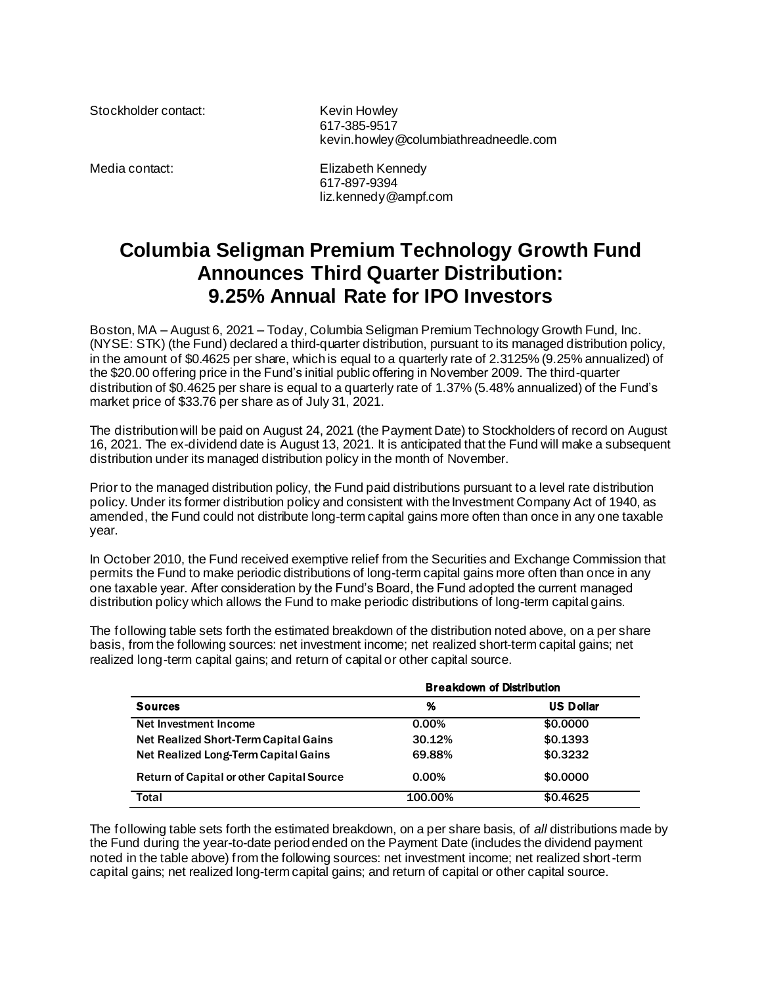Stockholder contact: Kevin Howley

617-385-9517 kevin.howley@columbiathreadneedle.com

Media contact: Elizabeth Kennedy 617-897-9394 liz.kennedy@ampf.com

## **Columbia Seligman Premium Technology Growth Fund Announces Third Quarter Distribution: 9.25% Annual Rate for IPO Investors**

Boston, MA – August 6, 2021 – Today, Columbia Seligman Premium Technology Growth Fund, Inc. (NYSE: STK) (the Fund) declared a third-quarter distribution, pursuant to its managed distribution policy, in the amount of \$0.4625 per share, which is equal to a quarterly rate of 2.3125% (9.25% annualized) of the \$20.00 offering price in the Fund's initial public offering in November 2009. The third-quarter distribution of \$0.4625 per share is equal to a quarterly rate of 1.37% (5.48% annualized) of the Fund's market price of \$33.76 per share as of July 31, 2021.

The distribution will be paid on August 24, 2021 (the Payment Date) to Stockholders of record on August 16, 2021. The ex-dividend date is August 13, 2021. It is anticipated that the Fund will make a subsequent distribution under its managed distribution policy in the month of November.

Prior to the managed distribution policy, the Fund paid distributions pursuant to a level rate distribution policy. Under its former distribution policy and consistent with the Investment Company Act of 1940, as amended, the Fund could not distribute long-term capital gains more often than once in any one taxable year.

In October 2010, the Fund received exemptive relief from the Securities and Exchange Commission that permits the Fund to make periodic distributions of long-term capital gains more often than once in any one taxable year. After consideration by the Fund's Board, the Fund adopted the current managed distribution policy which allows the Fund to make periodic distributions of long-term capital gains.

The following table sets forth the estimated breakdown of the distribution noted above, on a per share basis, from the following sources: net investment income; net realized short-term capital gains; net realized long-term capital gains; and return of capital or other capital source.

|                                                  | <b>Breakdown of Distribution</b> |                  |
|--------------------------------------------------|----------------------------------|------------------|
| <b>Sources</b>                                   | %                                | <b>US Dollar</b> |
| Net Investment Income                            | $0.00\%$                         | \$0,0000         |
| Net Realized Short-Term Capital Gains            | 30.12%                           | \$0.1393         |
| Net Realized Long-Term Capital Gains             | 69.88%                           | \$0.3232         |
| <b>Return of Capital or other Capital Source</b> | $0.00\%$                         | \$0,0000         |
| <b>Total</b>                                     | 100.00%                          | \$0.4625         |

The following table sets forth the estimated breakdown, on a per share basis, of *all* distributions made by the Fund during the year-to-date period ended on the Payment Date (includes the dividend payment noted in the table above) from the following sources: net investment income; net realized short-term capital gains; net realized long-term capital gains; and return of capital or other capital source.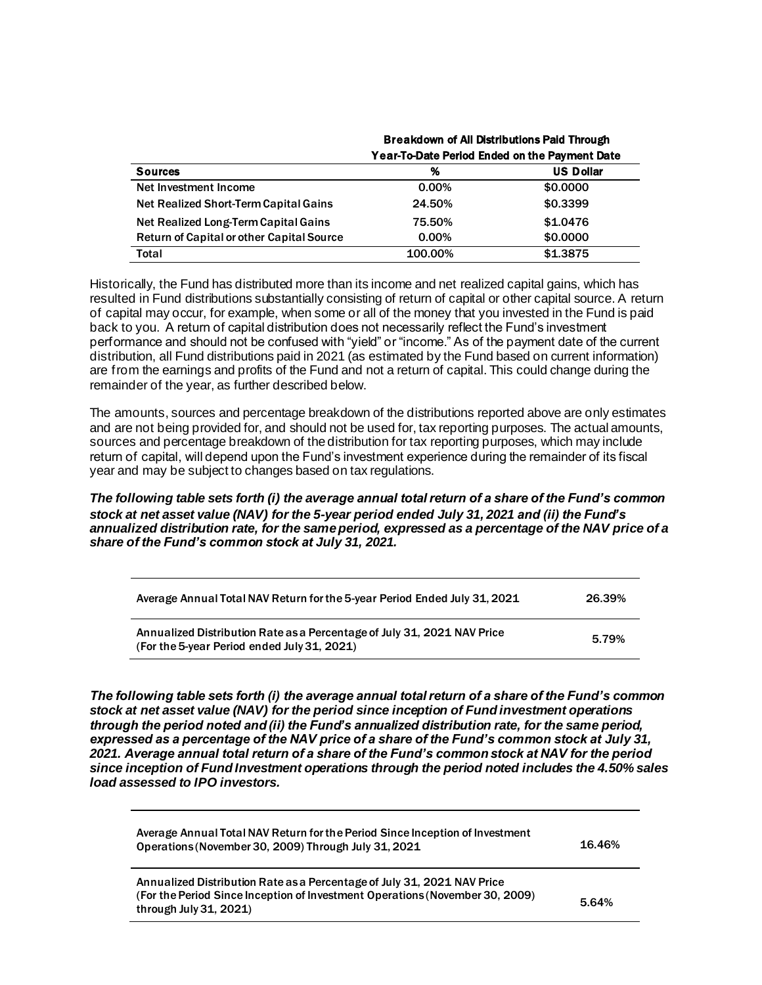|    | <b>Breakdown of All Distributions Paid Through</b> |
|----|----------------------------------------------------|
|    | Year-To-Date Period Ended on the Payment Date      |
| ^′ | $\mathbf{H} \cdot \mathbf{B}$                      |

| <b>Sources</b>                                   | %        | <b>US Dollar</b> |
|--------------------------------------------------|----------|------------------|
| Net Investment Income                            | $0.00\%$ | \$0.0000         |
| Net Realized Short-Term Capital Gains            | 24.50%   | \$0.3399         |
| Net Realized Long-Term Capital Gains             | 75.50%   | \$1,0476         |
| <b>Return of Capital or other Capital Source</b> | 0.00%    | \$0,0000         |
| Total                                            | 100.00%  | \$1,3875         |

Historically, the Fund has distributed more than its income and net realized capital gains, which has resulted in Fund distributions substantially consisting of return of capital or other capital source. A return of capital may occur, for example, when some or all of the money that you invested in the Fund is paid back to you. A return of capital distribution does not necessarily reflect the Fund's investment performance and should not be confused with "yield" or "income." As of the payment date of the current distribution, all Fund distributions paid in 2021 (as estimated by the Fund based on current information) are from the earnings and profits of the Fund and not a return of capital. This could change during the remainder of the year, as further described below.

The amounts, sources and percentage breakdown of the distributions reported above are only estimates and are not being provided for, and should not be used for, tax reporting purposes. The actual amounts, sources and percentage breakdown of the distribution for tax reporting purposes, which may include return of capital, will depend upon the Fund's investment experience during the remainder of its fiscal year and may be subject to changes based on tax regulations.

*The following table sets forth (i) the average annual total return of a share of the Fund's common stock at net asset value (NAV) for the 5-year period ended July 31, 2021 and (ii) the Fund's annualized distribution rate, for the same period, expressed as a percentage of the NAV price of a share of the Fund's common stock at July 31, 2021.* 

| Average Annual Total NAV Return for the 5-year Period Ended July 31, 2021                                              | 26.39% |
|------------------------------------------------------------------------------------------------------------------------|--------|
| Annualized Distribution Rate as a Percentage of July 31, 2021 NAV Price<br>(For the 5-year Period ended July 31, 2021) | 5.79%  |

*The following table sets forth (i) the average annual total return of a share of the Fund's common stock at net asset value (NAV) for the period since inception of Fund investment operations through the period noted and (ii) the Fund's annualized distribution rate, for the same period, expressed as a percentage of the NAV price of a share of the Fund's common stock at July 31, 2021. Average annual total return of a share of the Fund's common stock at NAV for the period since inception of Fund Investment operations through the period noted includes the 4.50% sales load assessed to IPO investors.*

| Average Annual Total NAV Return for the Period Since Inception of Investment<br>Operations (November 30, 2009) Through July 31, 2021                                                 | 16.46% |
|--------------------------------------------------------------------------------------------------------------------------------------------------------------------------------------|--------|
| Annualized Distribution Rate as a Percentage of July 31, 2021 NAV Price<br>(For the Period Since Inception of Investment Operations (November 30, 2009)<br>through July $31, 2021$ ) | 5.64%  |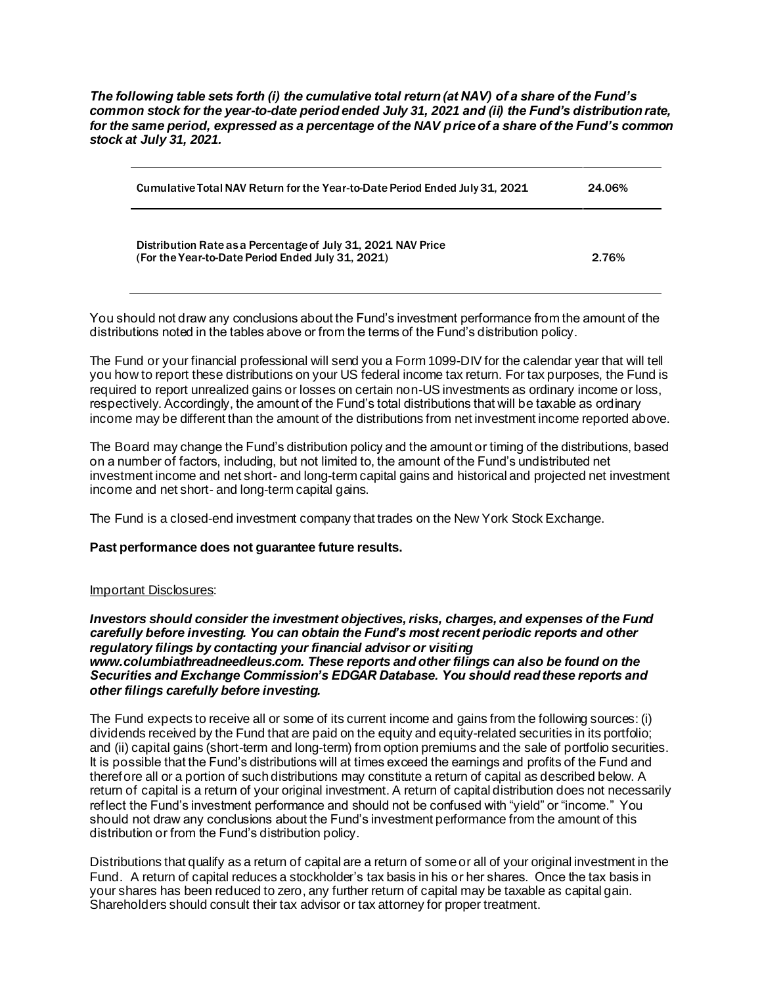*The following table sets forth (i) the cumulative total return (at NAV) of a share of the Fund's common stock for the year-to-date period ended July 31, 2021 and (ii) the Fund's distribution rate, for the same period, expressed as a percentage of the NAV price of a share of the Fund's common stock at July 31, 2021.*

| Cumulative Total NAV Return for the Year-to-Date Period Ended July 31, 2021                                       | 24.06% |
|-------------------------------------------------------------------------------------------------------------------|--------|
| Distribution Rate as a Percentage of July 31, 2021 NAV Price<br>(For the Year-to-Date Period Ended July 31, 2021) | 2.76%  |

You should not draw any conclusions about the Fund's investment performance from the amount of the distributions noted in the tables above or from the terms of the Fund's distribution policy.

The Fund or your financial professional will send you a Form 1099-DIV for the calendar year that will tell you how to report these distributions on your US federal income tax return. For tax purposes, the Fund is required to report unrealized gains or losses on certain non-US investments as ordinary income or loss, respectively. Accordingly, the amount of the Fund's total distributions that will be taxable as ordinary income may be different than the amount of the distributions from net investment income reported above.

The Board may change the Fund's distribution policy and the amount or timing of the distributions, based on a number of factors, including, but not limited to, the amount of the Fund's undistributed net investment income and net short- and long-term capital gains and historical and projected net investment income and net short- and long-term capital gains.

The Fund is a closed-end investment company that trades on the New York Stock Exchange.

## **Past performance does not guarantee future results.**

## Important Disclosures:

*Investors should consider the investment objectives, risks, charges, and expenses of the Fund carefully before investing. You can obtain the Fund's most recent periodic reports and other regulatory filings by contacting your financial advisor or visiting www.columbiathreadneedleus.com. These reports and other filings can also be found on the Securities and Exchange Commission's EDGAR Database. You should read these reports and other filings carefully before investing.*

The Fund expects to receive all or some of its current income and gains from the following sources: (i) dividends received by the Fund that are paid on the equity and equity-related securities in its portfolio; and (ii) capital gains (short-term and long-term) from option premiums and the sale of portfolio securities. It is possible that the Fund's distributions will at times exceed the earnings and profits of the Fund and therefore all or a portion of such distributions may constitute a return of capital as described below. A return of capital is a return of your original investment. A return of capital distribution does not necessarily reflect the Fund's investment performance and should not be confused with "yield" or "income." You should not draw any conclusions about the Fund's investment performance from the amount of this distribution or from the Fund's distribution policy.

Distributions that qualify as a return of capital are a return of some or all of your original investment in the Fund. A return of capital reduces a stockholder's tax basis in his or her shares. Once the tax basis in your shares has been reduced to zero, any further return of capital may be taxable as capital gain. Shareholders should consult their tax advisor or tax attorney for proper treatment.